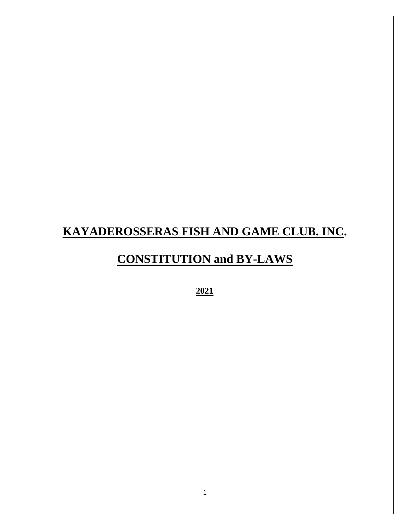# **KAYADEROSSERAS FISH AND GAME CLUB. INC.**

# **CONSTITUTION and BY-LAWS**

**2021**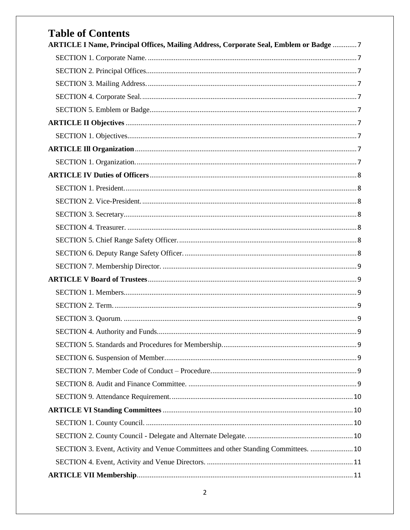| <b>Table of Contents</b>                                                              |  |
|---------------------------------------------------------------------------------------|--|
| ARTICLE I Name, Principal Offices, Mailing Address, Corporate Seal, Emblem or Badge 7 |  |
|                                                                                       |  |
|                                                                                       |  |
|                                                                                       |  |
|                                                                                       |  |
|                                                                                       |  |
|                                                                                       |  |
|                                                                                       |  |
|                                                                                       |  |
|                                                                                       |  |
|                                                                                       |  |
|                                                                                       |  |
|                                                                                       |  |
|                                                                                       |  |
|                                                                                       |  |
|                                                                                       |  |
|                                                                                       |  |
|                                                                                       |  |
|                                                                                       |  |
|                                                                                       |  |
|                                                                                       |  |
|                                                                                       |  |
|                                                                                       |  |
|                                                                                       |  |
|                                                                                       |  |
|                                                                                       |  |
|                                                                                       |  |
|                                                                                       |  |
|                                                                                       |  |
|                                                                                       |  |
|                                                                                       |  |
| SECTION 3. Event, Activity and Venue Committees and other Standing Committees.  10    |  |
|                                                                                       |  |
|                                                                                       |  |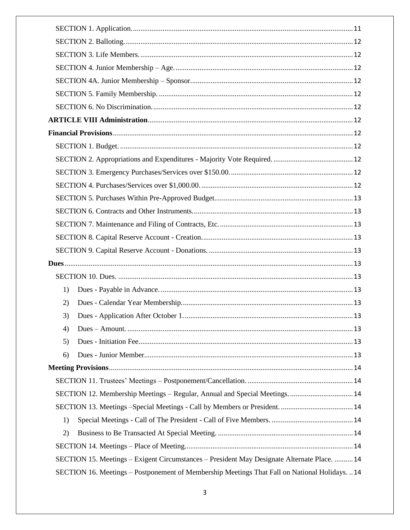| 1) |                                                                                                |  |  |  |  |
|----|------------------------------------------------------------------------------------------------|--|--|--|--|
| 2) |                                                                                                |  |  |  |  |
| 3) |                                                                                                |  |  |  |  |
| 4) |                                                                                                |  |  |  |  |
| 5) |                                                                                                |  |  |  |  |
| 6) |                                                                                                |  |  |  |  |
|    |                                                                                                |  |  |  |  |
|    |                                                                                                |  |  |  |  |
|    | SECTION 12. Membership Meetings - Regular, Annual and Special Meetings.  14                    |  |  |  |  |
|    |                                                                                                |  |  |  |  |
| 1) |                                                                                                |  |  |  |  |
| 2) |                                                                                                |  |  |  |  |
|    |                                                                                                |  |  |  |  |
|    | SECTION 15. Meetings - Exigent Circumstances - President May Designate Alternate Place.  14    |  |  |  |  |
|    | SECTION 16. Meetings - Postponement of Membership Meetings That Fall on National Holidays.  14 |  |  |  |  |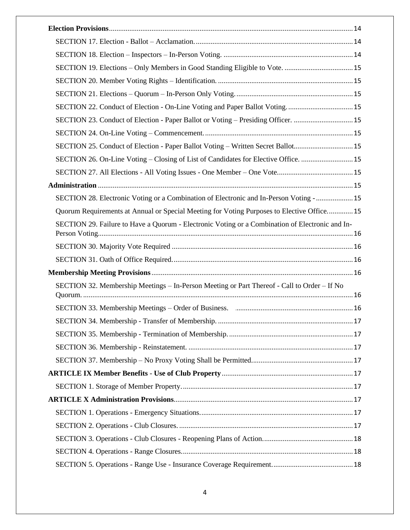| SECTION 23. Conduct of Election - Paper Ballot or Voting - Presiding Officer. 15                |  |
|-------------------------------------------------------------------------------------------------|--|
|                                                                                                 |  |
| SECTION 25. Conduct of Election - Paper Ballot Voting - Written Secret Ballot 15                |  |
| SECTION 26. On-Line Voting - Closing of List of Candidates for Elective Office.  15             |  |
|                                                                                                 |  |
|                                                                                                 |  |
| SECTION 28. Electronic Voting or a Combination of Electronic and In-Person Voting -  15         |  |
| Quorum Requirements at Annual or Special Meeting for Voting Purposes to Elective Office 15      |  |
| SECTION 29. Failure to Have a Quorum - Electronic Voting or a Combination of Electronic and In- |  |
|                                                                                                 |  |
|                                                                                                 |  |
|                                                                                                 |  |
| SECTION 32. Membership Meetings - In-Person Meeting or Part Thereof - Call to Order - If No     |  |
|                                                                                                 |  |
|                                                                                                 |  |
|                                                                                                 |  |
|                                                                                                 |  |
|                                                                                                 |  |
|                                                                                                 |  |
|                                                                                                 |  |
|                                                                                                 |  |
|                                                                                                 |  |
|                                                                                                 |  |
|                                                                                                 |  |
|                                                                                                 |  |
|                                                                                                 |  |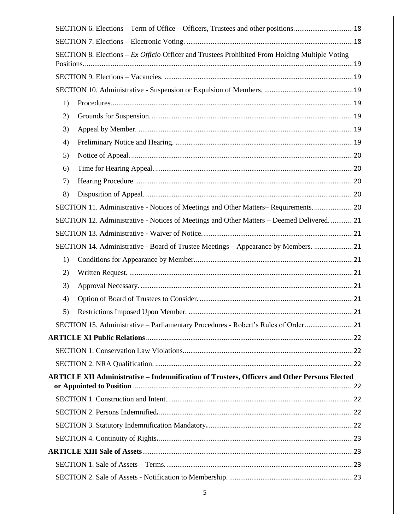|    | SECTION 6. Elections – Term of Office – Officers, Trustees and other positions 18                   |  |
|----|-----------------------------------------------------------------------------------------------------|--|
|    |                                                                                                     |  |
|    | SECTION 8. Elections - Ex Officio Officer and Trustees Prohibited From Holding Multiple Voting      |  |
|    |                                                                                                     |  |
|    |                                                                                                     |  |
| 1) |                                                                                                     |  |
| 2) |                                                                                                     |  |
| 3) |                                                                                                     |  |
| 4) |                                                                                                     |  |
| 5) |                                                                                                     |  |
| 6) |                                                                                                     |  |
| 7) |                                                                                                     |  |
| 8) |                                                                                                     |  |
|    | SECTION 11. Administrative - Notices of Meetings and Other Matters–Requirements 20                  |  |
|    | SECTION 12. Administrative - Notices of Meetings and Other Matters - Deemed Delivered.  21          |  |
|    |                                                                                                     |  |
|    | SECTION 14. Administrative - Board of Trustee Meetings - Appearance by Members.  21                 |  |
| 1) |                                                                                                     |  |
| 2) |                                                                                                     |  |
| 3) |                                                                                                     |  |
| 4) |                                                                                                     |  |
| 5) |                                                                                                     |  |
|    | SECTION 15. Administrative - Parliamentary Procedures - Robert's Rules of Order 21                  |  |
|    |                                                                                                     |  |
|    |                                                                                                     |  |
|    |                                                                                                     |  |
|    | <b>ARTICLE XII Administrative - Indemnification of Trustees, Officers and Other Persons Elected</b> |  |
|    |                                                                                                     |  |
|    |                                                                                                     |  |
|    |                                                                                                     |  |
|    |                                                                                                     |  |
|    |                                                                                                     |  |
|    |                                                                                                     |  |
|    |                                                                                                     |  |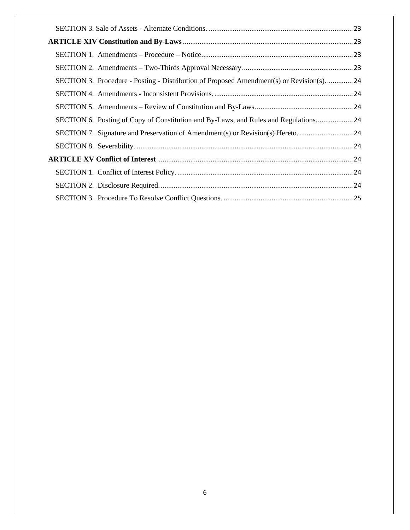| SECTION 3. Procedure - Posting - Distribution of Proposed Amendment(s) or Revision(s) 24 |  |
|------------------------------------------------------------------------------------------|--|
|                                                                                          |  |
|                                                                                          |  |
| SECTION 6. Posting of Copy of Constitution and By-Laws, and Rules and Regulations 24     |  |
|                                                                                          |  |
|                                                                                          |  |
|                                                                                          |  |
|                                                                                          |  |
|                                                                                          |  |
|                                                                                          |  |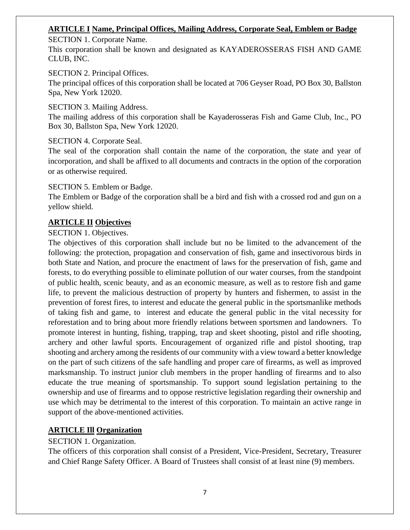### <span id="page-6-0"></span>**ARTICLE I Name, Principal Offices, Mailing Address, Corporate Seal, Emblem or Badge**

<span id="page-6-1"></span>SECTION 1. Corporate Name.

This corporation shall be known and designated as KAYADEROSSERAS FISH AND GAME CLUB, INC.

#### <span id="page-6-2"></span>SECTION 2. Principal Offices.

The principal offices of this corporation shall be located at 706 Geyser Road, PO Box 30, Ballston Spa, New York 12020.

<span id="page-6-3"></span>SECTION 3. Mailing Address.

The mailing address of this corporation shall be Kayaderosseras Fish and Game Club, Inc., PO Box 30, Ballston Spa, New York 12020.

<span id="page-6-4"></span>SECTION 4. Corporate Seal.

The seal of the corporation shall contain the name of the corporation, the state and year of incorporation, and shall be affixed to all documents and contracts in the option of the corporation or as otherwise required.

#### <span id="page-6-5"></span>SECTION 5. Emblem or Badge.

The Emblem or Badge of the corporation shall be a bird and fish with a crossed rod and gun on a yellow shield.

# <span id="page-6-6"></span>**ARTICLE II Objectives**

# <span id="page-6-7"></span>SECTION 1. Objectives.

The objectives of this corporation shall include but no be limited to the advancement of the following: the protection, propagation and conservation of fish, game and insectivorous birds in both State and Nation, and procure the enactment of laws for the preservation of fish, game and forests, to do everything possible to eliminate pollution of our water courses, from the standpoint of public health, scenic beauty, and as an economic measure, as well as to restore fish and game life, to prevent the malicious destruction of property by hunters and fishermen, to assist in the prevention of forest fires, to interest and educate the general public in the sportsmanlike methods of taking fish and game, to interest and educate the general public in the vital necessity for reforestation and to bring about more friendly relations between sportsmen and landowners. To promote interest in hunting, fishing, trapping, trap and skeet shooting, pistol and rifle shooting, archery and other lawful sports. Encouragement of organized rifle and pistol shooting, trap shooting and archery among the residents of our community with a view toward a better knowledge on the part of such citizens of the safe handling and proper care of firearms, as well as improved marksmanship. To instruct junior club members in the proper handling of firearms and to also educate the true meaning of sportsmanship. To support sound legislation pertaining to the ownership and use of firearms and to oppose restrictive legislation regarding their ownership and use which may be detrimental to the interest of this corporation. To maintain an active range in support of the above-mentioned activities.

# <span id="page-6-8"></span>**ARTICLE Ill Organization**

# <span id="page-6-9"></span>SECTION 1. Organization.

The officers of this corporation shall consist of a President, Vice-President, Secretary, Treasurer and Chief Range Safety Officer. A Board of Trustees shall consist of at least nine (9) members.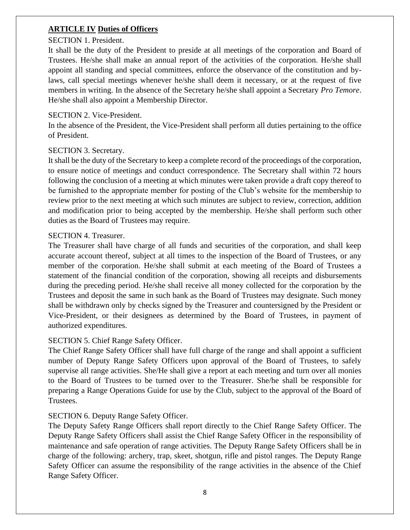#### <span id="page-7-0"></span>**ARTICLE IV Duties of Officers**

#### <span id="page-7-1"></span>SECTION 1. President.

It shall be the duty of the President to preside at all meetings of the corporation and Board of Trustees. He/she shall make an annual report of the activities of the corporation. He/she shall appoint all standing and special committees, enforce the observance of the constitution and bylaws, call special meetings whenever he/she shall deem it necessary, or at the request of five members in writing. In the absence of the Secretary he/she shall appoint a Secretary *Pro Temore*. He/she shall also appoint a Membership Director.

#### <span id="page-7-2"></span>SECTION 2. Vice-President.

In the absence of the President, the Vice-President shall perform all duties pertaining to the office of President.

#### <span id="page-7-3"></span>SECTION 3. Secretary.

It shall be the duty of the Secretary to keep a complete record of the proceedings of the corporation, to ensure notice of meetings and conduct correspondence. The Secretary shall within 72 hours following the conclusion of a meeting at which minutes were taken provide a draft copy thereof to be furnished to the appropriate member for posting of the Club's website for the membership to review prior to the next meeting at which such minutes are subject to review, correction, addition and modification prior to being accepted by the membership. He/she shall perform such other duties as the Board of Trustees may require.

#### <span id="page-7-4"></span>SECTION 4. Treasurer.

The Treasurer shall have charge of all funds and securities of the corporation, and shall keep accurate account thereof, subject at all times to the inspection of the Board of Trustees, or any member of the corporation. He/she shall submit at each meeting of the Board of Trustees a statement of the financial condition of the corporation, showing all receipts and disbursements during the preceding period. He/she shall receive all money collected for the corporation by the Trustees and deposit the same in such bank as the Board of Trustees may designate. Such money shall be withdrawn only by checks signed by the Treasurer and countersigned by the President or Vice-President, or their designees as determined by the Board of Trustees, in payment of authorized expenditures.

#### <span id="page-7-5"></span>SECTION 5. Chief Range Safety Officer.

The Chief Range Safety Officer shall have full charge of the range and shall appoint a sufficient number of Deputy Range Safety Officers upon approval of the Board of Trustees, to safely supervise all range activities. She/He shall give a report at each meeting and turn over all monies to the Board of Trustees to be turned over to the Treasurer. She/he shall be responsible for preparing a Range Operations Guide for use by the Club, subject to the approval of the Board of Trustees.

#### <span id="page-7-6"></span>SECTION 6. Deputy Range Safety Officer.

The Deputy Safety Range Officers shall report directly to the Chief Range Safety Officer. The Deputy Range Safety Officers shall assist the Chief Range Safety Officer in the responsibility of maintenance and safe operation of range activities. The Deputy Range Safety Officers shall be in charge of the following: archery, trap, skeet, shotgun, rifle and pistol ranges. The Deputy Range Safety Officer can assume the responsibility of the range activities in the absence of the Chief Range Safety Officer.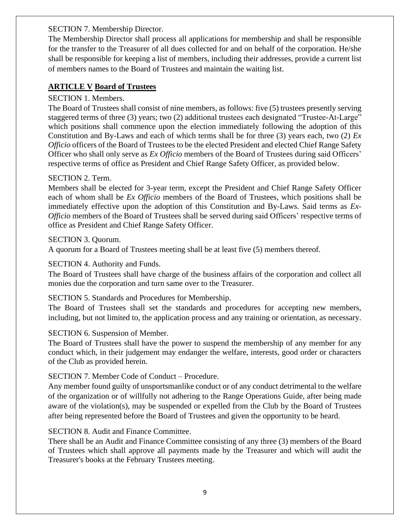#### <span id="page-8-0"></span>SECTION 7. Membership Director.

The Membership Director shall process all applications for membership and shall be responsible for the transfer to the Treasurer of all dues collected for and on behalf of the corporation. He/she shall be responsible for keeping a list of members, including their addresses, provide a current list of members names to the Board of Trustees and maintain the waiting list.

### <span id="page-8-1"></span>**ARTICLE V Board of Trustees**

#### <span id="page-8-2"></span>SECTION 1. Members.

The Board of Trustees shall consist of nine members, as follows: five (5) trustees presently serving staggered terms of three (3) years; two (2) additional trustees each designated "Trustee-At-Large" which positions shall commence upon the election immediately following the adoption of this Constitution and By-Laws and each of which terms shall be for three (3) years each, two (2) *Ex Officio* officers of the Board of Trustees to be the elected President and elected Chief Range Safety Officer who shall only serve as *Ex Officio* members of the Board of Trustees during said Officers' respective terms of office as President and Chief Range Safety Officer, as provided below.

#### <span id="page-8-3"></span>SECTION 2. Term.

Members shall be elected for 3-year term, except the President and Chief Range Safety Officer each of whom shall be *Ex Officio* members of the Board of Trustees, which positions shall be immediately effective upon the adoption of this Constitution and By-Laws. Said terms as *Ex-Officio* members of the Board of Trustees shall be served during said Officers' respective terms of office as President and Chief Range Safety Officer.

#### <span id="page-8-4"></span>SECTION 3. Quorum.

A quorum for a Board of Trustees meeting shall be at least five (5) members thereof.

#### <span id="page-8-5"></span>SECTION 4. Authority and Funds.

The Board of Trustees shall have charge of the business affairs of the corporation and collect all monies due the corporation and turn same over to the Treasurer.

#### <span id="page-8-6"></span>SECTION 5. Standards and Procedures for Membership.

The Board of Trustees shall set the standards and procedures for accepting new members, including, but not limited to, the application process and any training or orientation, as necessary.

#### <span id="page-8-7"></span>SECTION 6. Suspension of Member.

The Board of Trustees shall have the power to suspend the membership of any member for any conduct which, in their judgement may endanger the welfare, interests, good order or characters of the Club as provided herein.

#### <span id="page-8-8"></span>SECTION 7. Member Code of Conduct – Procedure.

Any member found guilty of unsportsmanlike conduct or of any conduct detrimental to the welfare of the organization or of willfully not adhering to the Range Operations Guide, after being made aware of the violation(s), may be suspended or expelled from the Club by the Board of Trustees after being represented before the Board of Trustees and given the opportunity to be heard.

#### <span id="page-8-9"></span>SECTION 8. Audit and Finance Committee.

There shall be an Audit and Finance Committee consisting of any three (3) members of the Board of Trustees which shall approve all payments made by the Treasurer and which will audit the Treasurer's books at the February Trustees meeting.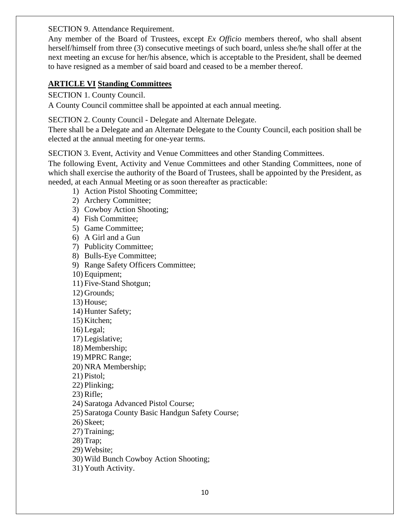<span id="page-9-0"></span>SECTION 9. Attendance Requirement.

Any member of the Board of Trustees, except *Ex Officio* members thereof, who shall absent herself/himself from three (3) consecutive meetings of such board, unless she/he shall offer at the next meeting an excuse for her/his absence, which is acceptable to the President, shall be deemed to have resigned as a member of said board and ceased to be a member thereof.

#### <span id="page-9-1"></span>**ARTICLE VI Standing Committees**

<span id="page-9-2"></span>SECTION 1. County Council.

A County Council committee shall be appointed at each annual meeting.

<span id="page-9-3"></span>SECTION 2. County Council - Delegate and Alternate Delegate.

There shall be a Delegate and an Alternate Delegate to the County Council, each position shall be elected at the annual meeting for one-year terms.

<span id="page-9-4"></span>SECTION 3. Event, Activity and Venue Committees and other Standing Committees.

The following Event, Activity and Venue Committees and other Standing Committees, none of which shall exercise the authority of the Board of Trustees, shall be appointed by the President, as needed, at each Annual Meeting or as soon thereafter as practicable:

- 1) Action Pistol Shooting Committee;
- 2) Archery Committee;
- 3) Cowboy Action Shooting;
- 4) Fish Committee;
- 5) Game Committee;
- 6) A Girl and a Gun
- 7) Publicity Committee;
- 8) Bulls-Eye Committee;
- 9) Range Safety Officers Committee;
- 10) Equipment;
- 11) Five-Stand Shotgun;
- 12) Grounds;
- 13) House;
- 14) Hunter Safety;
- 15) Kitchen;
- 16) Legal;
- 17) Legislative;
- 18) Membership;
- 19) MPRC Range;
- 20) NRA Membership;
- 21) Pistol;
- 22) Plinking;
- 23) Rifle;
- 24) Saratoga Advanced Pistol Course;
- 25) Saratoga County Basic Handgun Safety Course;
- 26) Skeet;
- 27) Training;
- 28) Trap;
- 29) Website;
- 30) Wild Bunch Cowboy Action Shooting;
- 31) Youth Activity.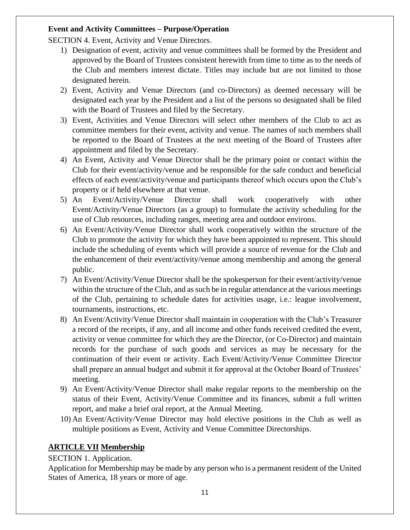#### **Event and Activity Committees – Purpose/Operation**

<span id="page-10-0"></span>SECTION 4. Event, Activity and Venue Directors.

- 1) Designation of event, activity and venue committees shall be formed by the President and approved by the Board of Trustees consistent herewith from time to time as to the needs of the Club and members interest dictate. Titles may include but are not limited to those designated herein.
- 2) Event, Activity and Venue Directors (and co-Directors) as deemed necessary will be designated each year by the President and a list of the persons so designated shall be filed with the Board of Trustees and filed by the Secretary.
- 3) Event, Activities and Venue Directors will select other members of the Club to act as committee members for their event, activity and venue. The names of such members shall be reported to the Board of Trustees at the next meeting of the Board of Trustees after appointment and filed by the Secretary.
- 4) An Event, Activity and Venue Director shall be the primary point or contact within the Club for their event/activity/venue and be responsible for the safe conduct and beneficial effects of each event/activity/venue and participants thereof which occurs upon the Club's property or if held elsewhere at that venue.
- 5) An Event/Activity/Venue Director shall work cooperatively with other Event/Activity/Venue Directors (as a group) to formulate the activity scheduling for the use of Club resources, including ranges, meeting area and outdoor environs.
- 6) An Event/Activity/Venue Director shall work cooperatively within the structure of the Club to promote the activity for which they have been appointed to represent. This should include the scheduling of events which will provide a source of revenue for the Club and the enhancement of their event/activity/venue among membership and among the general public.
- 7) An Event/Activity/Venue Director shall be the spokesperson for their event/activity/venue within the structure of the Club, and as such be in regular attendance at the various meetings of the Club, pertaining to schedule dates for activities usage, i.e.: league involvement, tournaments, instructions, etc.
- 8) An Event/Activity/Venue Director shall maintain in cooperation with the Club's Treasurer a record of the receipts, if any, and all income and other funds received credited the event, activity or venue committee for which they are the Director, (or Co-Director) and maintain records for the purchase of such goods and services as may be necessary for the continuation of their event or activity. Each Event/Activity/Venue Committee Director shall prepare an annual budget and submit it for approval at the October Board of Trustees' meeting.
- 9) An Event/Activity/Venue Director shall make regular reports to the membership on the status of their Event, Activity/Venue Committee and its finances, submit a full written report, and make a brief oral report, at the Annual Meeting.
- 10) An Event/Activity/Venue Director may hold elective positions in the Club as well as multiple positions as Event, Activity and Venue Committee Directorships.

# <span id="page-10-1"></span>**ARTICLE VII Membership**

# <span id="page-10-2"></span>SECTION 1. Application.

Application for Membership may be made by any person who is a permanent resident of the United States of America, 18 years or more of age.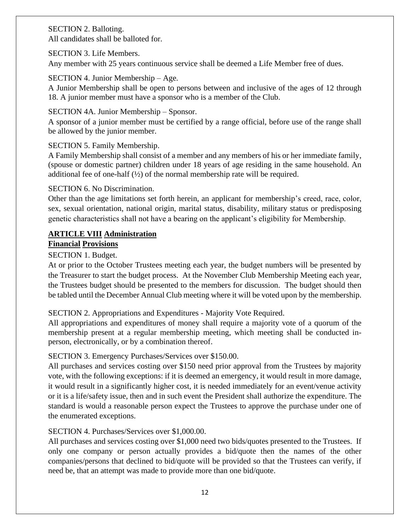#### <span id="page-11-0"></span>SECTION 2. Balloting. All candidates shall be balloted for.

#### <span id="page-11-1"></span>SECTION 3. Life Members.

Any member with 25 years continuous service shall be deemed a Life Member free of dues.

#### <span id="page-11-2"></span>SECTION 4. Junior Membership – Age.

A Junior Membership shall be open to persons between and inclusive of the ages of 12 through 18. A junior member must have a sponsor who is a member of the Club.

#### <span id="page-11-3"></span>SECTION 4A. Junior Membership – Sponsor.

A sponsor of a junior member must be certified by a range official, before use of the range shall be allowed by the junior member.

#### <span id="page-11-4"></span>SECTION 5. Family Membership.

A Family Membership shall consist of a member and any members of his or her immediate family, (spouse or domestic partner) children under 18 years of age residing in the same household. An additional fee of one-half (½) of the normal membership rate will be required.

#### <span id="page-11-5"></span>SECTION 6. No Discrimination.

Other than the age limitations set forth herein, an applicant for membership's creed, race, color, sex, sexual orientation, national origin, marital status, disability, military status or predisposing genetic characteristics shall not have a bearing on the applicant's eligibility for Membership.

# <span id="page-11-6"></span>**ARTICLE VIII Administration**

# <span id="page-11-7"></span>**Financial Provisions**

### <span id="page-11-8"></span>SECTION 1. Budget.

At or prior to the October Trustees meeting each year, the budget numbers will be presented by the Treasurer to start the budget process. At the November Club Membership Meeting each year, the Trustees budget should be presented to the members for discussion. The budget should then be tabled until the December Annual Club meeting where it will be voted upon by the membership.

# <span id="page-11-9"></span>SECTION 2. Appropriations and Expenditures - Majority Vote Required.

All appropriations and expenditures of money shall require a majority vote of a quorum of the membership present at a regular membership meeting, which meeting shall be conducted inperson, electronically, or by a combination thereof.

# <span id="page-11-10"></span>SECTION 3. Emergency Purchases/Services over \$150.00.

All purchases and services costing over \$150 need prior approval from the Trustees by majority vote, with the following exceptions: if it is deemed an emergency, it would result in more damage, it would result in a significantly higher cost, it is needed immediately for an event/venue activity or it is a life/safety issue, then and in such event the President shall authorize the expenditure. The standard is would a reasonable person expect the Trustees to approve the purchase under one of the enumerated exceptions.

#### <span id="page-11-11"></span>SECTION 4. Purchases/Services over \$1,000.00.

All purchases and services costing over \$1,000 need two bids/quotes presented to the Trustees. If only one company or person actually provides a bid/quote then the names of the other companies/persons that declined to bid/quote will be provided so that the Trustees can verify, if need be, that an attempt was made to provide more than one bid/quote.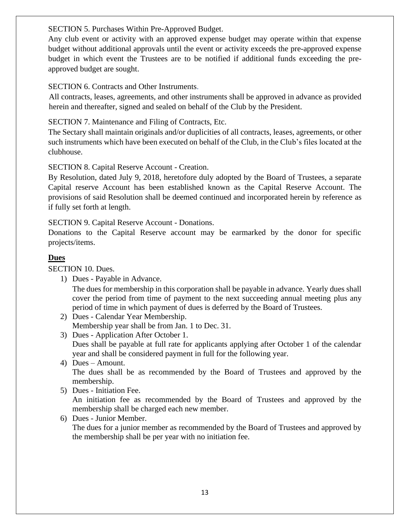<span id="page-12-0"></span>SECTION 5. Purchases Within Pre-Approved Budget.

Any club event or activity with an approved expense budget may operate within that expense budget without additional approvals until the event or activity exceeds the pre-approved expense budget in which event the Trustees are to be notified if additional funds exceeding the preapproved budget are sought.

<span id="page-12-1"></span>SECTION 6. Contracts and Other Instruments.

All contracts, leases, agreements, and other instruments shall be approved in advance as provided herein and thereafter, signed and sealed on behalf of the Club by the President.

<span id="page-12-2"></span>SECTION 7. Maintenance and Filing of Contracts, Etc.

The Sectary shall maintain originals and/or duplicities of all contracts, leases, agreements, or other such instruments which have been executed on behalf of the Club, in the Club's files located at the clubhouse.

<span id="page-12-3"></span>SECTION 8. Capital Reserve Account - Creation.

By Resolution, dated July 9, 2018, heretofore duly adopted by the Board of Trustees, a separate Capital reserve Account has been established known as the Capital Reserve Account. The provisions of said Resolution shall be deemed continued and incorporated herein by reference as if fully set forth at length.

<span id="page-12-4"></span>SECTION 9. Capital Reserve Account - Donations.

Donations to the Capital Reserve account may be earmarked by the donor for specific projects/items.

# <span id="page-12-5"></span>**Dues**

<span id="page-12-7"></span><span id="page-12-6"></span>SECTION 10. Dues.

1) Dues - Payable in Advance.

The dues for membership in this corporation shall be payable in advance. Yearly dues shall cover the period from time of payment to the next succeeding annual meeting plus any period of time in which payment of dues is deferred by the Board of Trustees.

- <span id="page-12-8"></span>2) Dues - Calendar Year Membership. Membership year shall be from Jan. 1 to Dec. 31.
- <span id="page-12-9"></span>3) Dues - Application After October 1. Dues shall be payable at full rate for applicants applying after October 1 of the calendar year and shall be considered payment in full for the following year.
- <span id="page-12-10"></span>4) Dues – Amount. The dues shall be as recommended by the Board of Trustees and approved by the membership.
- <span id="page-12-11"></span>5) Dues - Initiation Fee.

An initiation fee as recommended by the Board of Trustees and approved by the membership shall be charged each new member.

<span id="page-12-12"></span>6) Dues - Junior Member.

The dues for a junior member as recommended by the Board of Trustees and approved by the membership shall be per year with no initiation fee.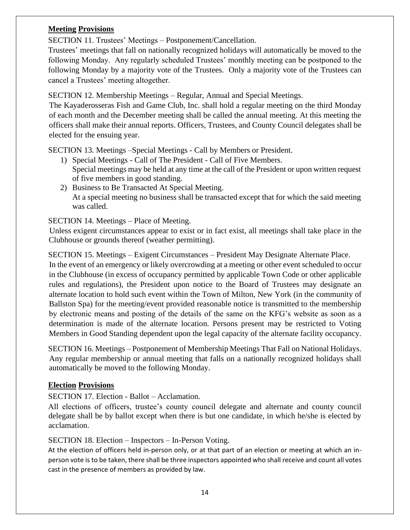# <span id="page-13-0"></span>**Meeting Provisions**

<span id="page-13-1"></span>SECTION 11. Trustees' Meetings – Postponement/Cancellation.

Trustees' meetings that fall on nationally recognized holidays will automatically be moved to the following Monday. Any regularly scheduled Trustees' monthly meeting can be postponed to the following Monday by a majority vote of the Trustees. Only a majority vote of the Trustees can cancel a Trustees' meeting altogether.

<span id="page-13-2"></span>SECTION 12. Membership Meetings – Regular, Annual and Special Meetings.

The Kayaderosseras Fish and Game Club, Inc. shall hold a regular meeting on the third Monday of each month and the December meeting shall be called the annual meeting. At this meeting the officers shall make their annual reports. Officers, Trustees, and County Council delegates shall be elected for the ensuing year.

<span id="page-13-4"></span><span id="page-13-3"></span>SECTION 13. Meetings –Special Meetings - Call by Members or President.

- 1) Special Meetings Call of The President Call of Five Members. Special meetings may be held at any time at the call of the President or upon written request of five members in good standing.
- <span id="page-13-5"></span>2) Business to Be Transacted At Special Meeting. At a special meeting no business shall be transacted except that for which the said meeting was called.

# <span id="page-13-6"></span>SECTION 14. Meetings – Place of Meeting.

Unless exigent circumstances appear to exist or in fact exist, all meetings shall take place in the Clubhouse or grounds thereof (weather permitting).

<span id="page-13-7"></span>SECTION 15. Meetings – Exigent Circumstances – President May Designate Alternate Place.

In the event of an emergency or likely overcrowding at a meeting or other event scheduled to occur in the Clubhouse (in excess of occupancy permitted by applicable Town Code or other applicable rules and regulations), the President upon notice to the Board of Trustees may designate an alternate location to hold such event within the Town of Milton, New York (in the community of Ballston Spa) for the meeting/event provided reasonable notice is transmitted to the membership by electronic means and posting of the details of the same on the KFG's website as soon as a determination is made of the alternate location. Persons present may be restricted to Voting Members in Good Standing dependent upon the legal capacity of the alternate facility occupancy.

<span id="page-13-8"></span>SECTION 16. Meetings – Postponement of Membership Meetings That Fall on National Holidays. Any regular membership or annual meeting that falls on a nationally recognized holidays shall automatically be moved to the following Monday.

#### <span id="page-13-9"></span>**Election Provisions**

<span id="page-13-10"></span>SECTION 17. Election - Ballot – Acclamation.

All elections of officers, trustee's county council delegate and alternate and county council delegate shall be by ballot except when there is but one candidate, in which he/she is elected by acclamation.

#### <span id="page-13-11"></span>SECTION 18. Election – Inspectors – In-Person Voting.

At the election of officers held in-person only, or at that part of an election or meeting at which an inperson vote is to be taken, there shall be three inspectors appointed who shall receive and count all votes cast in the presence of members as provided by law.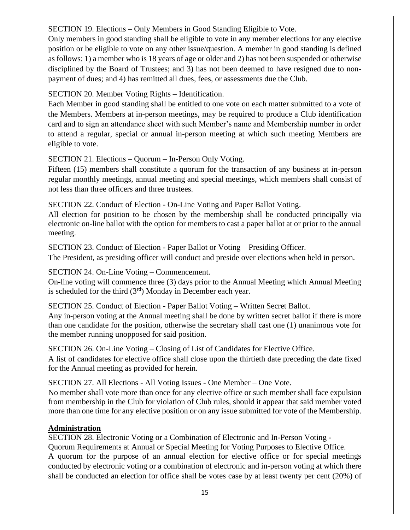#### <span id="page-14-0"></span>SECTION 19. Elections – Only Members in Good Standing Eligible to Vote.

Only members in good standing shall be eligible to vote in any member elections for any elective position or be eligible to vote on any other issue/question. A member in good standing is defined as follows: 1) a member who is 18 years of age or older and 2) has not been suspended or otherwise disciplined by the Board of Trustees; and 3) has not been deemed to have resigned due to nonpayment of dues; and 4) has remitted all dues, fees, or assessments due the Club.

#### <span id="page-14-1"></span>SECTION 20. Member Voting Rights – Identification.

Each Member in good standing shall be entitled to one vote on each matter submitted to a vote of the Members. Members at in-person meetings, may be required to produce a Club identification card and to sign an attendance sheet with such Member's name and Membership number in order to attend a regular, special or annual in-person meeting at which such meeting Members are eligible to vote.

#### <span id="page-14-2"></span>SECTION 21. Elections – Quorum – In-Person Only Voting.

Fifteen (15) members shall constitute a quorum for the transaction of any business at in-person regular monthly meetings, annual meeting and special meetings, which members shall consist of not less than three officers and three trustees.

<span id="page-14-3"></span>SECTION 22. Conduct of Election - On-Line Voting and Paper Ballot Voting.

All election for position to be chosen by the membership shall be conducted principally via electronic on-line ballot with the option for members to cast a paper ballot at or prior to the annual meeting.

<span id="page-14-4"></span>SECTION 23. Conduct of Election - Paper Ballot or Voting – Presiding Officer.

The President, as presiding officer will conduct and preside over elections when held in person.

<span id="page-14-5"></span>SECTION 24. On-Line Voting – Commencement.

On-line voting will commence three (3) days prior to the Annual Meeting which Annual Meeting is scheduled for the third  $(3<sup>rd</sup>)$  Monday in December each year.

<span id="page-14-6"></span>SECTION 25. Conduct of Election - Paper Ballot Voting – Written Secret Ballot.

Any in-person voting at the Annual meeting shall be done by written secret ballot if there is more than one candidate for the position, otherwise the secretary shall cast one (1) unanimous vote for the member running unopposed for said position.

<span id="page-14-7"></span>SECTION 26. On-Line Voting – Closing of List of Candidates for Elective Office. A list of candidates for elective office shall close upon the thirtieth date preceding the date fixed for the Annual meeting as provided for herein.

<span id="page-14-8"></span>SECTION 27. All Elections - All Voting Issues - One Member – One Vote.

No member shall vote more than once for any elective office or such member shall face expulsion from membership in the Club for violation of Club rules, should it appear that said member voted more than one time for any elective position or on any issue submitted for vote of the Membership.

# <span id="page-14-9"></span>**Administration**

<span id="page-14-10"></span>SECTION 28. Electronic Voting or a Combination of Electronic and In-Person Voting -

<span id="page-14-11"></span>Quorum Requirements at Annual or Special Meeting for Voting Purposes to Elective Office.

A quorum for the purpose of an annual election for elective office or for special meetings conducted by electronic voting or a combination of electronic and in-person voting at which there shall be conducted an election for office shall be votes case by at least twenty per cent (20%) of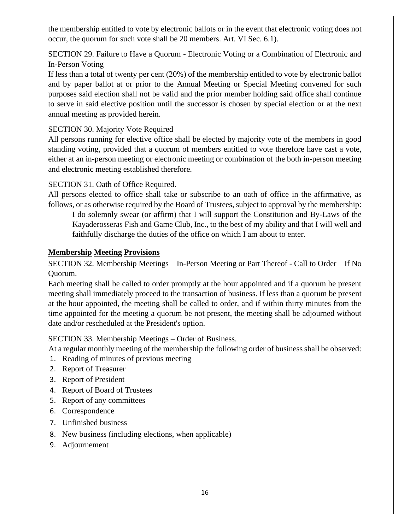the membership entitled to vote by electronic ballots or in the event that electronic voting does not occur, the quorum for such vote shall be 20 members. Art. VI Sec. 6.1).

<span id="page-15-0"></span>SECTION 29. Failure to Have a Quorum - Electronic Voting or a Combination of Electronic and In-Person Voting

If less than a total of twenty per cent (20%) of the membership entitled to vote by electronic ballot and by paper ballot at or prior to the Annual Meeting or Special Meeting convened for such purposes said election shall not be valid and the prior member holding said office shall continue to serve in said elective position until the successor is chosen by special election or at the next annual meeting as provided herein.

#### <span id="page-15-1"></span>SECTION 30. Majority Vote Required

All persons running for elective office shall be elected by majority vote of the members in good standing voting, provided that a quorum of members entitled to vote therefore have cast a vote, either at an in-person meeting or electronic meeting or combination of the both in-person meeting and electronic meeting established therefore.

#### <span id="page-15-2"></span>SECTION 31. Oath of Office Required.

All persons elected to office shall take or subscribe to an oath of office in the affirmative, as follows, or as otherwise required by the Board of Trustees, subject to approval by the membership:

I do solemnly swear (or affirm) that I will support the Constitution and By-Laws of the Kayaderosseras Fish and Game Club, Inc., to the best of my ability and that I will well and faithfully discharge the duties of the office on which I am about to enter.

#### <span id="page-15-3"></span>**Membership Meeting Provisions**

<span id="page-15-4"></span>SECTION 32. Membership Meetings – In-Person Meeting or Part Thereof - Call to Order – If No Quorum.

Each meeting shall be called to order promptly at the hour appointed and if a quorum be present meeting shall immediately proceed to the transaction of business. If less than a quorum be present at the hour appointed, the meeting shall be called to order, and if within thirty minutes from the time appointed for the meeting a quorum be not present, the meeting shall be adjourned without date and/or rescheduled at the President's option.

<span id="page-15-5"></span>SECTION 33. Membership Meetings – Order of Business.

At a regular monthly meeting of the membership the following order of business shall be observed:

- 1. Reading of minutes of previous meeting
- 2. Report of Treasurer
- 3. Report of President
- 4. Report of Board of Trustees
- 5. Report of any committees
- 6. Correspondence
- 7. Unfinished business
- 8. New business (including elections, when applicable)
- 9. Adjournement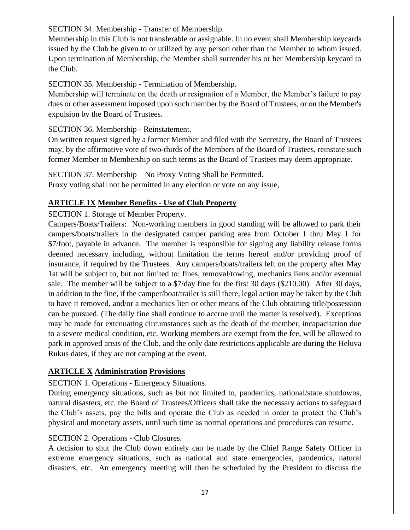<span id="page-16-0"></span>SECTION 34. Membership - Transfer of Membership.

Membership in this Club is not transferable or assignable. In no event shall Membership keycards issued by the Club be given to or utilized by any person other than the Member to whom issued. Upon termination of Membership, the Member shall surrender his or her Membership keycard to the Club.

### <span id="page-16-1"></span>SECTION 35. Membership - Termination of Membership.

Membership will terminate on the death or resignation of a Member, the Member's failure to pay dues or other assessment imposed upon such member by the Board of Trustees, or on the Member's expulsion by the Board of Trustees.

#### <span id="page-16-2"></span>SECTION 36. Membership - Reinstatement.

On written request signed by a former Member and filed with the Secretary, the Board of Trustees may, by the affirmative vote of two-thirds of the Members of the Board of Trustees, reinstate such former Member to Membership on such terms as the Board of Trustees may deem appropriate.

<span id="page-16-3"></span>SECTION 37. Membership – No Proxy Voting Shall be Permitted. Proxy voting shall not be permitted in any election or vote on any issue,

# <span id="page-16-4"></span>**ARTICLE IX Member Benefits** - **Use of Club Property**

#### <span id="page-16-5"></span>SECTION 1. Storage of Member Property.

Campers/Boats/Trailers: Non-working members in good standing will be allowed to park their campers/boats/trailers in the designated camper parking area from October 1 thru May 1 for \$7/foot, payable in advance. The member is responsible for signing any liability release forms deemed necessary including, without limitation the terms hereof and/or providing proof of insurance, if required by the Trustees. Any campers/boats/trailers left on the property after May 1st will be subject to, but not limited to: fines, removal/towing, mechanics liens and/or eventual sale. The member will be subject to a \$7/day fine for the first 30 days (\$210.00). After 30 days, in addition to the fine, if the camper/boat/trailer is still there, legal action may be taken by the Club to have it removed, and/or a mechanics lien or other means of the Club obtaining title/possession can be pursued. (The daily fine shall continue to accrue until the matter is resolved). Exceptions may be made for extenuating circumstances such as the death of the member, incapacitation due to a severe medical condition, etc. Working members are exempt from the fee, will be allowed to park in approved areas of the Club, and the only date restrictions applicable are during the Heluva Rukus dates, if they are not camping at the event.

# <span id="page-16-6"></span>**ARTICLE X Administration Provisions**

# <span id="page-16-7"></span>SECTION 1. Operations - Emergency Situations.

During emergency situations, such as but not limited to, pandemics, national/state shutdowns, natural disasters, etc. the Board of Trustees/Officers shall take the necessary actions to safeguard the Club's assets, pay the bills and operate the Club as needed in order to protect the Club's physical and monetary assets, until such time as normal operations and procedures can resume.

#### <span id="page-16-8"></span>SECTION 2. Operations - Club Closures.

A decision to shut the Club down entirely can be made by the Chief Range Safety Officer in extreme emergency situations, such as national and state emergencies, pandemics, natural disasters, etc. An emergency meeting will then be scheduled by the President to discuss the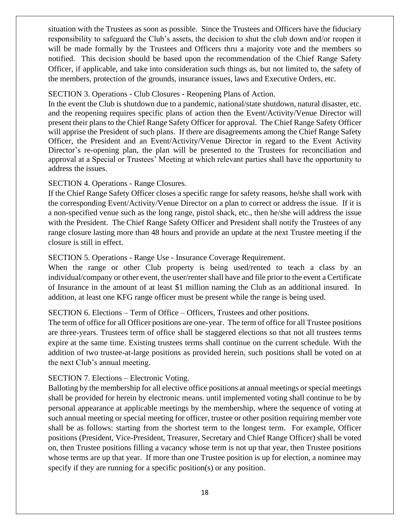situation with the Trustees as soon as possible. Since the Trustees and Officers have the fiduciary responsibility to safeguard the Club's assets, the decision to shut the club down and/or reopen it will be made formally by the Trustees and Officers thru a majority vote and the members so notified. This decision should be based upon the recommendation of the Chief Range Safety Officer, if applicable, and take into consideration such things as, but not limited to, the safety of the members, protection of the grounds, insurance issues, laws and Executive Orders, etc.

#### <span id="page-17-0"></span>SECTION 3. Operations - Club Closures - Reopening Plans of Action.

In the event the Club is shutdown due to a pandemic, national/state shutdown, natural disaster, etc. and the reopening requires specific plans of action then the Event/Activity/Venue Director will present their plans to the Chief Range Safety Officer for approval. The Chief Range Safety Officer will apprise the President of such plans. If there are disagreements among the Chief Range Safety Officer, the President and an Event/Activity/Venue Director in regard to the Event Activity Director's re-opening plan, the plan will be presented to the Trustees for reconciliation and approval at a Special or Trustees' Meeting at which relevant parties shall have the opportunity to address the issues.

#### <span id="page-17-1"></span>SECTION 4. Operations - Range Closures.

If the Chief Range Safety Officer closes a specific range for safety reasons, he**/**she shall work with the corresponding Event/Activity/Venue Director on a plan to correct or address the issue. If it is a non-specified venue such as the long range, pistol shack, etc., then he/she will address the issue with the President. The Chief Range Safety Officer and President shall notify the Trustees of any range closure lasting more than 48 hours and provide an update at the next Trustee meeting if the closure is still in effect.

#### <span id="page-17-2"></span>SECTION 5. Operations - Range Use - Insurance Coverage Requirement.

When the range or other Club property is being used/rented to teach a class by an individual/company or other event, the user/renter shall have and file prior to the event a Certificate of Insurance in the amount of at least \$1 million naming the Club as an additional insured. In addition, at least one KFG range officer must be present while the range is being used.

#### <span id="page-17-3"></span>SECTION 6. Elections – Term of Office – Officers, Trustees and other positions.

The term of office for all Officer positions are one-year. The term of office for all Trustee positions are three-years. Trustees term of office shall be staggered elections so that not all trustees terms expire at the same time. Existing trustees terms shall continue on the current schedule. With the addition of two trustee-at-large positions as provided herein, such positions shall be voted on at the next Club's annual meeting.

#### <span id="page-17-4"></span>SECTION 7. Elections – Electronic Voting.

Balloting by the membership for all elective office positions at annual meetings or special meetings shall be provided for herein by electronic means. until implemented voting shall continue to be by personal appearance at applicable meetings by the membership, where the sequence of voting at such annual meeting or special meeting for officer, trustee or other position requiring member vote shall be as follows: starting from the shortest term to the longest term. For example, Officer positions (President, Vice-President, Treasurer, Secretary and Chief Range Officer) shall be voted on, then Trustee positions filling a vacancy whose term is not up that year, then Trustee positions whose terms are up that year. If more than one Trustee position is up for election, a nominee may specify if they are running for a specific position(s) or any position.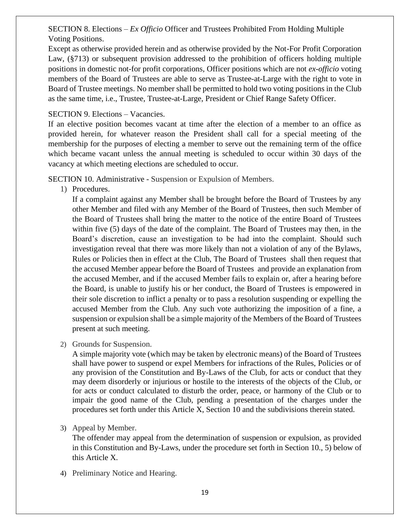#### <span id="page-18-0"></span>SECTION 8. Elections – *Ex Officio* Officer and Trustees Prohibited From Holding Multiple Voting Positions.

Except as otherwise provided herein and as otherwise provided by the Not-For Profit Corporation Law, (§713) or subsequent provision addressed to the prohibition of officers holding multiple positions in domestic not-for profit corporations, Officer positions which are not *ex-officio* voting members of the Board of Trustees are able to serve as Trustee-at-Large with the right to vote in Board of Trustee meetings. No member shall be permitted to hold two voting positions in the Club as the same time, i.e., Trustee, Trustee-at-Large, President or Chief Range Safety Officer.

#### <span id="page-18-1"></span>SECTION 9. Elections – Vacancies.

If an elective position becomes vacant at time after the election of a member to an office as provided herein, for whatever reason the President shall call for a special meeting of the membership for the purposes of electing a member to serve out the remaining term of the office which became vacant unless the annual meeting is scheduled to occur within 30 days of the vacancy at which meeting elections are scheduled to occur.

<span id="page-18-3"></span><span id="page-18-2"></span>SECTION 10. Administrative - Suspension or Expulsion of Members.

1) Procedures.

If a complaint against any Member shall be brought before the Board of Trustees by any other Member and filed with any Member of the Board of Trustees, then such Member of the Board of Trustees shall bring the matter to the notice of the entire Board of Trustees within five (5) days of the date of the complaint. The Board of Trustees may then, in the Board's discretion, cause an investigation to be had into the complaint. Should such investigation reveal that there was more likely than not a violation of any of the Bylaws, Rules or Policies then in effect at the Club, The Board of Trustees shall then request that the accused Member appear before the Board of Trustees and provide an explanation from the accused Member, and if the accused Member fails to explain or, after a hearing before the Board, is unable to justify his or her conduct, the Board of Trustees is empowered in their sole discretion to inflict a penalty or to pass a resolution suspending or expelling the accused Member from the Club. Any such vote authorizing the imposition of a fine, a suspension or expulsion shall be a simple majority of the Members of the Board of Trustees present at such meeting.

<span id="page-18-4"></span>2) Grounds for Suspension.

A simple majority vote (which may be taken by electronic means) of the Board of Trustees shall have power to suspend or expel Members for infractions of the Rules, Policies or of any provision of the Constitution and By-Laws of the Club, for acts or conduct that they may deem disorderly or injurious or hostile to the interests of the objects of the Club, or for acts or conduct calculated to disturb the order, peace, or harmony of the Club or to impair the good name of the Club, pending a presentation of the charges under the procedures set forth under this Article X, Section 10 and the subdivisions therein stated.

<span id="page-18-5"></span>3) Appeal by Member.

The offender may appeal from the determination of suspension or expulsion, as provided in this Constitution and By-Laws, under the procedure set forth in Section 10., 5) below of this Article X.

<span id="page-18-6"></span>4) Preliminary Notice and Hearing.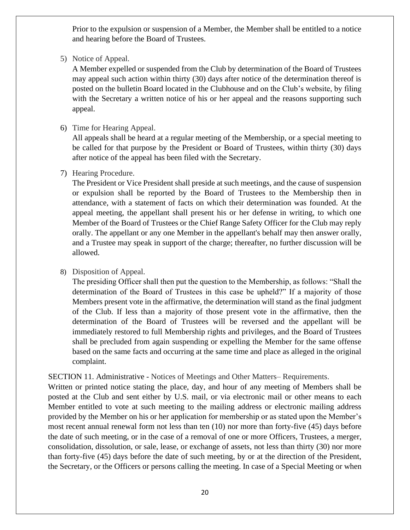Prior to the expulsion or suspension of a Member, the Member shall be entitled to a notice and hearing before the Board of Trustees.

<span id="page-19-0"></span>5) Notice of Appeal.

A Member expelled or suspended from the Club by determination of the Board of Trustees may appeal such action within thirty (30) days after notice of the determination thereof is posted on the bulletin Board located in the Clubhouse and on the Club's website, by filing with the Secretary a written notice of his or her appeal and the reasons supporting such appeal.

<span id="page-19-1"></span>6) Time for Hearing Appeal.

All appeals shall be heard at a regular meeting of the Membership, or a special meeting to be called for that purpose by the President or Board of Trustees, within thirty (30) days after notice of the appeal has been filed with the Secretary.

<span id="page-19-2"></span>7) Hearing Procedure.

The President or Vice President shall preside at such meetings, and the cause of suspension or expulsion shall be reported by the Board of Trustees to the Membership then in attendance, with a statement of facts on which their determination was founded. At the appeal meeting, the appellant shall present his or her defense in writing, to which one Member of the Board of Trustees or the Chief Range Safety Officer for the Club may reply orally. The appellant or any one Member in the appellant's behalf may then answer orally, and a Trustee may speak in support of the charge; thereafter, no further discussion will be allowed.

#### <span id="page-19-3"></span>8) Disposition of Appeal.

The presiding Officer shall then put the question to the Membership, as follows: "Shall the determination of the Board of Trustees in this case be upheld?" If a majority of those Members present vote in the affirmative, the determination will stand as the final judgment of the Club. If less than a majority of those present vote in the affirmative, then the determination of the Board of Trustees will be reversed and the appellant will be immediately restored to full Membership rights and privileges, and the Board of Trustees shall be precluded from again suspending or expelling the Member for the same offense based on the same facts and occurring at the same time and place as alleged in the original complaint.

<span id="page-19-4"></span>SECTION 11. Administrative - Notices of Meetings and Other Matters– Requirements.

Written or printed notice stating the place, day, and hour of any meeting of Members shall be posted at the Club and sent either by U.S. mail, or via electronic mail or other means to each Member entitled to vote at such meeting to the mailing address or electronic mailing address provided by the Member on his or her application for membership or as stated upon the Member's most recent annual renewal form not less than ten (10) nor more than forty-five (45) days before the date of such meeting, or in the case of a removal of one or more Officers, Trustees, a merger, consolidation, dissolution, or sale, lease, or exchange of assets, not less than thirty (30) nor more than forty-five (45) days before the date of such meeting, by or at the direction of the President, the Secretary, or the Officers or persons calling the meeting. In case of a Special Meeting or when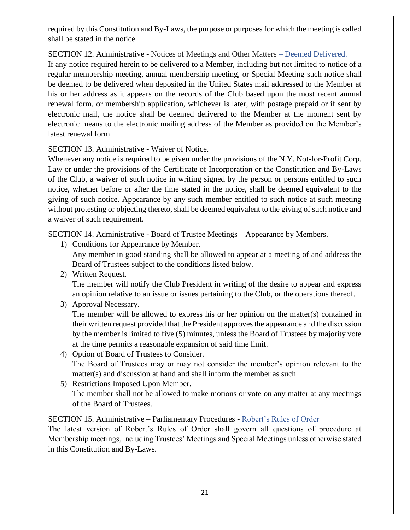required by this Constitution and By-Laws, the purpose or purposes for which the meeting is called shall be stated in the notice.

<span id="page-20-0"></span>SECTION 12. Administrative - Notices of Meetings and Other Matters – Deemed Delivered. If any notice required herein to be delivered to a Member, including but not limited to notice of a regular membership meeting, annual membership meeting, or Special Meeting such notice shall be deemed to be delivered when deposited in the United States mail addressed to the Member at his or her address as it appears on the records of the Club based upon the most recent annual renewal form, or membership application, whichever is later, with postage prepaid or if sent by electronic mail, the notice shall be deemed delivered to the Member at the moment sent by electronic means to the electronic mailing address of the Member as provided on the Member's latest renewal form.

#### <span id="page-20-1"></span>SECTION 13. Administrative - Waiver of Notice.

Whenever any notice is required to be given under the provisions of the N.Y. Not-for-Profit Corp. Law or under the provisions of the Certificate of Incorporation or the Constitution and By-Laws of the Club, a waiver of such notice in writing signed by the person or persons entitled to such notice, whether before or after the time stated in the notice, shall be deemed equivalent to the giving of such notice. Appearance by any such member entitled to such notice at such meeting without protesting or objecting thereto, shall be deemed equivalent to the giving of such notice and a waiver of such requirement.

<span id="page-20-3"></span><span id="page-20-2"></span>SECTION 14. Administrative - Board of Trustee Meetings – Appearance by Members.

- 1) Conditions for Appearance by Member. Any member in good standing shall be allowed to appear at a meeting of and address the Board of Trustees subject to the conditions listed below.
- <span id="page-20-4"></span>2) Written Request. The member will notify the Club President in writing of the desire to appear and express an opinion relative to an issue or issues pertaining to the Club, or the operations thereof.
- <span id="page-20-5"></span>3) Approval Necessary.

The member will be allowed to express his or her opinion on the matter(s) contained in their written request provided that the President approves the appearance and the discussion by the member is limited to five (5) minutes, unless the Board of Trustees by majority vote at the time permits a reasonable expansion of said time limit.

- <span id="page-20-6"></span>4) Option of Board of Trustees to Consider. The Board of Trustees may or may not consider the member's opinion relevant to the matter(s) and discussion at hand and shall inform the member as such.
- <span id="page-20-7"></span>5) Restrictions Imposed Upon Member. The member shall not be allowed to make motions or vote on any matter at any meetings of the Board of Trustees.

#### <span id="page-20-8"></span>SECTION 15. Administrative – Parliamentary Procedures - Robert's Rules of Order

The latest version of Robert's Rules of Order shall govern all questions of procedure at Membership meetings, including Trustees' Meetings and Special Meetings unless otherwise stated in this Constitution and By-Laws.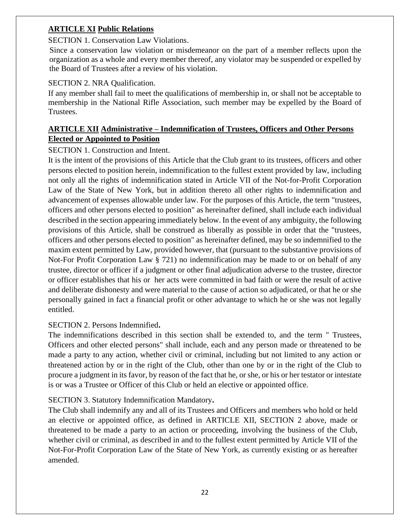#### <span id="page-21-0"></span>**ARTICLE XI Public Relations**

#### <span id="page-21-1"></span>SECTION 1. Conservation Law Violations.

Since a conservation law violation or misdemeanor on the part of a member reflects upon the organization as a whole and every member thereof, any violator may be suspended or expelled by the Board of Trustees after a review of his violation.

#### <span id="page-21-2"></span>SECTION 2. NRA Qualification.

If any member shall fail to meet the qualifications of membership in, or shall not be acceptable to membership in the National Rifle Association, such member may be expelled by the Board of Trustees.

#### <span id="page-21-3"></span>**ARTICLE XII Administrative – Indemnification of Trustees, Officers and Other Persons Elected or Appointed to Position**

#### <span id="page-21-4"></span>SECTION 1. Construction and Intent.

It is the intent of the provisions of this Article that the Club grant to its trustees, officers and other persons elected to position herein, indemnification to the fullest extent provided by law, including not only all the rights of indemnification stated in Article VII of the Not-for-Profit Corporation Law of the State of New York, but in addition thereto all other rights to indemnification and advancement of expenses allowable under law. For the purposes of this Article, the term "trustees, officers and other persons elected to position" as hereinafter defined, shall include each individual described in the section appearing immediately below. In the event of any ambiguity, the following provisions of this Article, shall be construed as liberally as possible in order that the "trustees, officers and other persons elected to position" as hereinafter defined, may be so indemnified to the maxim extent permitted by Law, provided however, that (pursuant to the substantive provisions of Not-For Profit Corporation Law § 721) no indemnification may be made to or on behalf of any trustee, director or officer if a judgment or other final adjudication adverse to the trustee, director or officer establishes that his or her acts were committed in bad faith or were the result of active and deliberate dishonesty and were material to the cause of action so adjudicated, or that he or she personally gained in fact a financial profit or other advantage to which he or she was not legally entitled.

#### <span id="page-21-5"></span>SECTION 2. Persons Indemnified**.**

The indemnifications described in this section shall be extended to, and the term " Trustees, Officers and other elected persons" shall include, each and any person made or threatened to be made a party to any action, whether civil or criminal, including but not limited to any action or threatened action by or in the right of the Club, other than one by or in the right of the Club to procure a judgment in its favor, by reason of the fact that he, or she, or his or her testator or intestate is or was a Trustee or Officer of this Club or held an elective or appointed office.

#### <span id="page-21-6"></span>SECTION 3. Statutory Indemnification Mandatory**.**

The Club shall indemnify any and all of its Trustees and Officers and members who hold or held an elective or appointed office, as defined in ARTICLE XII, SECTION 2 above, made or threatened to be made a party to an action or proceeding, involving the business of the Club, whether civil or criminal, as described in and to the fullest extent permitted by Article VII of the Not-For-Profit Corporation Law of the State of New York, as currently existing or as hereafter amended.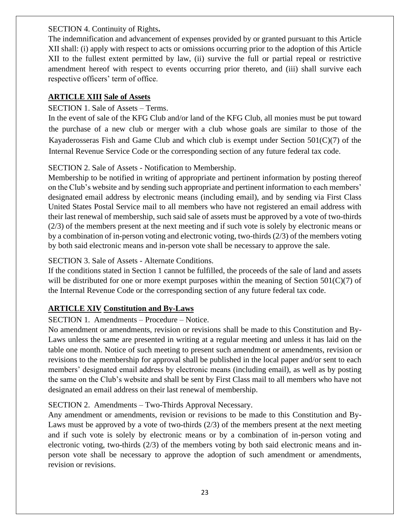<span id="page-22-0"></span>SECTION 4. Continuity of Rights**.**

The indemnification and advancement of expenses provided by or granted pursuant to this Article XII shall: (i) apply with respect to acts or omissions occurring prior to the adoption of this Article XII to the fullest extent permitted by law, (ii) survive the full or partial repeal or restrictive amendment hereof with respect to events occurring prior thereto, and (iii) shall survive each respective officers' term of office.

#### <span id="page-22-1"></span>**ARTICLE XIII Sale of Assets**

#### <span id="page-22-2"></span>SECTION 1. Sale of Assets – Terms.

In the event of sale of the KFG Club and/or land of the KFG Club, all monies must be put toward the purchase of a new club or merger with a club whose goals are similar to those of the Kayaderosseras Fish and Game Club and which club is exempt under Section  $501(C)(7)$  of the Internal Revenue Service Code or the corresponding section of any future federal tax code.

#### <span id="page-22-3"></span>SECTION 2. Sale of Assets - Notification to Membership.

Membership to be notified in writing of appropriate and pertinent information by posting thereof on the Club's website and by sending such appropriate and pertinent information to each members' designated email address by electronic means (including email), and by sending via First Class United States Postal Service mail to all members who have not registered an email address with their last renewal of membership, such said sale of assets must be approved by a vote of two-thirds (2/3) of the members present at the next meeting and if such vote is solely by electronic means or by a combination of in-person voting and electronic voting, two-thirds (2/3) of the members voting by both said electronic means and in-person vote shall be necessary to approve the sale.

#### <span id="page-22-4"></span>SECTION 3. Sale of Assets - Alternate Conditions.

If the conditions stated in Section 1 cannot be fulfilled, the proceeds of the sale of land and assets will be distributed for one or more exempt purposes within the meaning of Section 501(C)(7) of the Internal Revenue Code or the corresponding section of any future federal tax code.

# <span id="page-22-5"></span>**ARTICLE XIV Constitution and By-Laws**

<span id="page-22-6"></span>SECTION 1. Amendments – Procedure – Notice.

No amendment or amendments, revision or revisions shall be made to this Constitution and By-Laws unless the same are presented in writing at a regular meeting and unless it has laid on the table one month. Notice of such meeting to present such amendment or amendments, revision or revisions to the membership for approval shall be published in the local paper and/or sent to each members' designated email address by electronic means (including email), as well as by posting the same on the Club's website and shall be sent by First Class mail to all members who have not designated an email address on their last renewal of membership.

# <span id="page-22-7"></span>SECTION 2. Amendments – Two-Thirds Approval Necessary.

Any amendment or amendments, revision or revisions to be made to this Constitution and By-Laws must be approved by a vote of two-thirds (2/3) of the members present at the next meeting and if such vote is solely by electronic means or by a combination of in-person voting and electronic voting, two-thirds (2/3) of the members voting by both said electronic means and inperson vote shall be necessary to approve the adoption of such amendment or amendments, revision or revisions.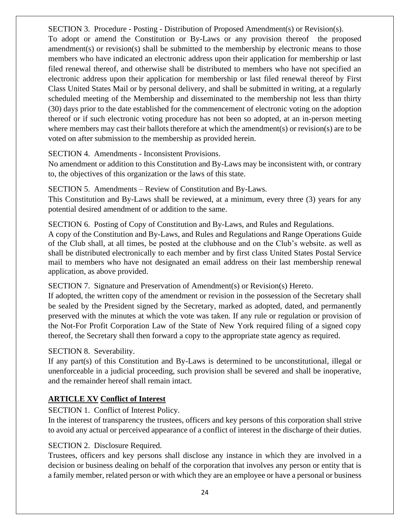<span id="page-23-0"></span>SECTION 3. Procedure - Posting - Distribution of Proposed Amendment(s) or Revision(s). To adopt or amend the Constitution or By-Laws or any provision thereof the proposed amendment(s) or revision(s) shall be submitted to the membership by electronic means to those members who have indicated an electronic address upon their application for membership or last filed renewal thereof, and otherwise shall be distributed to members who have not specified an electronic address upon their application for membership or last filed renewal thereof by First Class United States Mail or by personal delivery, and shall be submitted in writing, at a regularly scheduled meeting of the Membership and disseminated to the membership not less than thirty (30) days prior to the date established for the commencement of electronic voting on the adoption thereof or if such electronic voting procedure has not been so adopted, at an in-person meeting where members may cast their ballots therefore at which the amendment(s) or revision(s) are to be voted on after submission to the membership as provided herein.

#### <span id="page-23-1"></span>SECTION 4. Amendments - Inconsistent Provisions.

No amendment or addition to this Constitution and By-Laws may be inconsistent with, or contrary to, the objectives of this organization or the laws of this state.

<span id="page-23-2"></span>SECTION 5. Amendments – Review of Constitution and By-Laws.

This Constitution and By-Laws shall be reviewed, at a minimum, every three (3) years for any potential desired amendment of or addition to the same.

<span id="page-23-3"></span>SECTION 6. Posting of Copy of Constitution and By-Laws, and Rules and Regulations.

A copy of the Constitution and By-Laws, and Rules and Regulations and Range Operations Guide of the Club shall, at all times, be posted at the clubhouse and on the Club's website. as well as shall be distributed electronically to each member and by first class United States Postal Service mail to members who have not designated an email address on their last membership renewal application, as above provided.

<span id="page-23-4"></span>SECTION 7. Signature and Preservation of Amendment(s) or Revision(s) Hereto.

If adopted, the written copy of the amendment or revision in the possession of the Secretary shall be sealed by the President signed by the Secretary, marked as adopted, dated, and permanently preserved with the minutes at which the vote was taken. If any rule or regulation or provision of the Not-For Profit Corporation Law of the State of New York required filing of a signed copy thereof, the Secretary shall then forward a copy to the appropriate state agency as required.

# <span id="page-23-5"></span>SECTION 8. Severability.

If any part(s) of this Constitution and By-Laws is determined to be unconstitutional, illegal or unenforceable in a judicial proceeding, such provision shall be severed and shall be inoperative, and the remainder hereof shall remain intact.

# <span id="page-23-6"></span>**ARTICLE XV Conflict of Interest**

<span id="page-23-7"></span>SECTION 1. Conflict of Interest Policy.

In the interest of transparency the trustees, officers and key persons of this corporation shall strive to avoid any actual or perceived appearance of a conflict of interest in the discharge of their duties.

# <span id="page-23-8"></span>SECTION 2. Disclosure Required.

Trustees, officers and key persons shall disclose any instance in which they are involved in a decision or business dealing on behalf of the corporation that involves any person or entity that is a family member, related person or with which they are an employee or have a personal or business